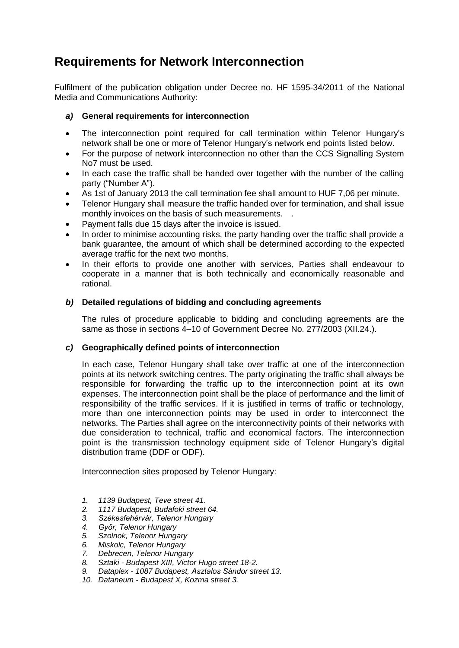# **Requirements for Network Interconnection**

Fulfilment of the publication obligation under Decree no. HF 1595-34/2011 of the National Media and Communications Authority:

## *a)* **General requirements for interconnection**

- The interconnection point required for call termination within Telenor Hungary's network shall be one or more of Telenor Hungary's network end points listed below.
- For the purpose of network interconnection no other than the CCS Signalling System No7 must be used.
- In each case the traffic shall be handed over together with the number of the calling party ("Number A").
- As 1st of January 2013 the call termination fee shall amount to HUF 7,06 per minute.
- Telenor Hungary shall measure the traffic handed over for termination, and shall issue monthly invoices on the basis of such measurements. .
- Payment falls due 15 days after the invoice is issued.
- In order to minimise accounting risks, the party handing over the traffic shall provide a bank guarantee, the amount of which shall be determined according to the expected average traffic for the next two months.
- In their efforts to provide one another with services, Parties shall endeavour to cooperate in a manner that is both technically and economically reasonable and rational.

## *b)* **Detailed regulations of bidding and concluding agreements**

The rules of procedure applicable to bidding and concluding agreements are the same as those in sections 4–10 of Government Decree No. 277/2003 (XII.24.).

## *c)* **Geographically defined points of interconnection**

In each case, Telenor Hungary shall take over traffic at one of the interconnection points at its network switching centres. The party originating the traffic shall always be responsible for forwarding the traffic up to the interconnection point at its own expenses. The interconnection point shall be the place of performance and the limit of responsibility of the traffic services. If it is justified in terms of traffic or technology, more than one interconnection points may be used in order to interconnect the networks. The Parties shall agree on the interconnectivity points of their networks with due consideration to technical, traffic and economical factors. The interconnection point is the transmission technology equipment side of Telenor Hungary's digital distribution frame (DDF or ODF).

Interconnection sites proposed by Telenor Hungary:

- *1. 1139 Budapest, Teve street 41.*
- *2. 1117 Budapest, Budafoki street 64.*
- *3. Székesfehérvár, Telenor Hungary*
- *4. Győr, Telenor Hungary*
- *5. Szolnok, Telenor Hungary*
- *6. Miskolc, Telenor Hungary*
- *7. Debrecen, Telenor Hungary*
- *8. Sztaki - Budapest XIII, Victor Hugo street 18-2.*
- *9. Dataplex - 1087 Budapest, Asztalos Sándor street 13.*
- *10. Dataneum - Budapest X, Kozma street 3.*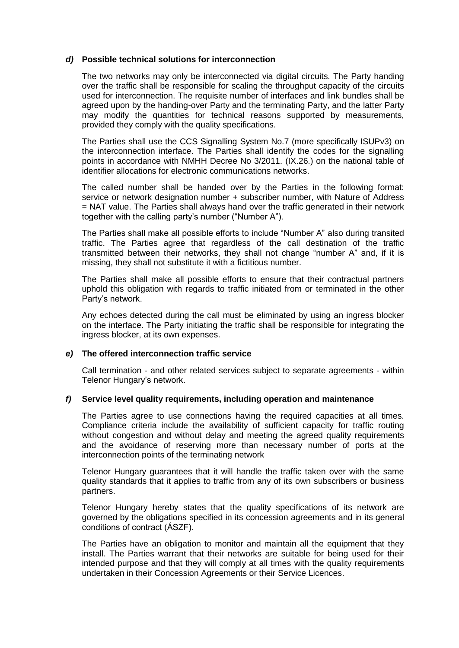#### *d)* **Possible technical solutions for interconnection**

The two networks may only be interconnected via digital circuits. The Party handing over the traffic shall be responsible for scaling the throughput capacity of the circuits used for interconnection. The requisite number of interfaces and link bundles shall be agreed upon by the handing-over Party and the terminating Party, and the latter Party may modify the quantities for technical reasons supported by measurements, provided they comply with the quality specifications.

The Parties shall use the CCS Signalling System No.7 (more specifically ISUPv3) on the interconnection interface. The Parties shall identify the codes for the signalling points in accordance with NMHH Decree No 3/2011. (IX.26.) on the national table of identifier allocations for electronic communications networks.

The called number shall be handed over by the Parties in the following format: service or network designation number + subscriber number, with Nature of Address = NAT value. The Parties shall always hand over the traffic generated in their network together with the calling party's number ("Number A").

The Parties shall make all possible efforts to include "Number A" also during transited traffic. The Parties agree that regardless of the call destination of the traffic transmitted between their networks, they shall not change "number A" and, if it is missing, they shall not substitute it with a fictitious number.

The Parties shall make all possible efforts to ensure that their contractual partners uphold this obligation with regards to traffic initiated from or terminated in the other Party's network.

Any echoes detected during the call must be eliminated by using an ingress blocker on the interface. The Party initiating the traffic shall be responsible for integrating the ingress blocker, at its own expenses.

## *e)* **The offered interconnection traffic service**

Call termination - and other related services subject to separate agreements - within Telenor Hungary's network.

#### *f)* **Service level quality requirements, including operation and maintenance**

The Parties agree to use connections having the required capacities at all times. Compliance criteria include the availability of sufficient capacity for traffic routing without congestion and without delay and meeting the agreed quality requirements and the avoidance of reserving more than necessary number of ports at the interconnection points of the terminating network

Telenor Hungary guarantees that it will handle the traffic taken over with the same quality standards that it applies to traffic from any of its own subscribers or business partners.

Telenor Hungary hereby states that the quality specifications of its network are governed by the obligations specified in its concession agreements and in its general conditions of contract (ÁSZF).

The Parties have an obligation to monitor and maintain all the equipment that they install. The Parties warrant that their networks are suitable for being used for their intended purpose and that they will comply at all times with the quality requirements undertaken in their Concession Agreements or their Service Licences.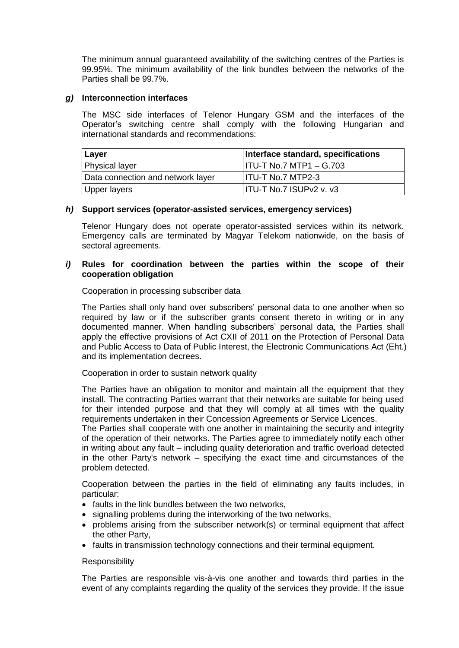The minimum annual guaranteed availability of the switching centres of the Parties is 99.95%. The minimum availability of the link bundles between the networks of the Parties shall be 99.7%.

#### *g)* **Interconnection interfaces**

The MSC side interfaces of Telenor Hungary GSM and the interfaces of the Operator's switching centre shall comply with the following Hungarian and international standards and recommendations:

| Layer                             | Interface standard, specifications |
|-----------------------------------|------------------------------------|
| Physical layer                    | HTU-T No.7 MTP1 – G.703            |
| Data connection and network layer | <b>IITU-T No.7 MTP2-3</b>          |
| Upper layers                      | ITU-T No.7 ISUPv2 v. v3            |

## *h)* **Support services (operator-assisted services, emergency services)**

Telenor Hungary does not operate operator-assisted services within its network. Emergency calls are terminated by Magyar Telekom nationwide, on the basis of sectoral agreements.

### *i)* **Rules for coordination between the parties within the scope of their cooperation obligation**

Cooperation in processing subscriber data

The Parties shall only hand over subscribers' personal data to one another when so required by law or if the subscriber grants consent thereto in writing or in any documented manner. When handling subscribers' personal data, the Parties shall apply the effective provisions of Act CXII of 2011 on the Protection of Personal Data and Public Access to Data of Public Interest, the Electronic Communications Act (Eht.) and its implementation decrees.

Cooperation in order to sustain network quality

The Parties have an obligation to monitor and maintain all the equipment that they install. The contracting Parties warrant that their networks are suitable for being used for their intended purpose and that they will comply at all times with the quality requirements undertaken in their Concession Agreements or Service Licences.

The Parties shall cooperate with one another in maintaining the security and integrity of the operation of their networks. The Parties agree to immediately notify each other in writing about any fault – including quality deterioration and traffic overload detected in the other Party's network – specifying the exact time and circumstances of the problem detected.

Cooperation between the parties in the field of eliminating any faults includes, in particular:

- faults in the link bundles between the two networks,
- signalling problems during the interworking of the two networks,
- problems arising from the subscriber network(s) or terminal equipment that affect the other Party,
- faults in transmission technology connections and their terminal equipment.

#### **Responsibility**

The Parties are responsible vis-à-vis one another and towards third parties in the event of any complaints regarding the quality of the services they provide. If the issue